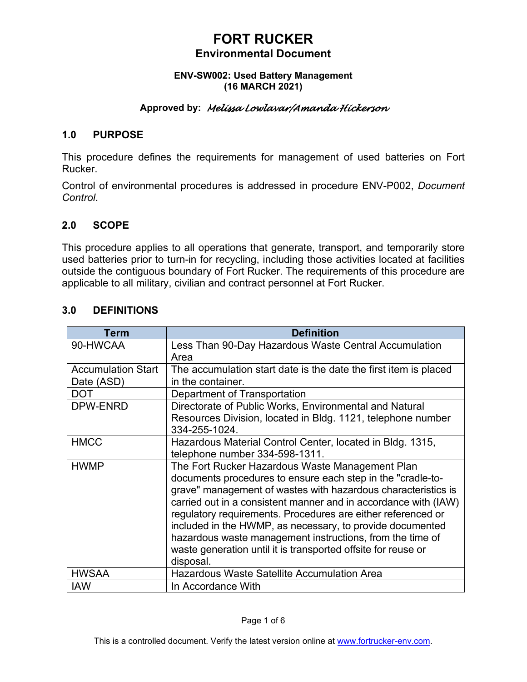#### **ENV-SW002: Used Battery Management (16 MARCH 2021)**

### **Approved by:** *Melissa Lowlavar/Amanda Hickerson*

### **1.0 PURPOSE**

This procedure defines the requirements for management of used batteries on Fort Rucker.

Control of environmental procedures is addressed in procedure ENV-P002, *Document Control*.

### **2.0 SCOPE**

This procedure applies to all operations that generate, transport, and temporarily store used batteries prior to turn-in for recycling, including those activities located at facilities outside the contiguous boundary of Fort Rucker. The requirements of this procedure are applicable to all military, civilian and contract personnel at Fort Rucker.

| Term                      | <b>Definition</b>                                                                                                                                                                                                                                             |
|---------------------------|---------------------------------------------------------------------------------------------------------------------------------------------------------------------------------------------------------------------------------------------------------------|
| 90-HWCAA                  | Less Than 90-Day Hazardous Waste Central Accumulation                                                                                                                                                                                                         |
|                           | Area                                                                                                                                                                                                                                                          |
| <b>Accumulation Start</b> | The accumulation start date is the date the first item is placed                                                                                                                                                                                              |
| Date (ASD)                | in the container.                                                                                                                                                                                                                                             |
| <b>DOT</b>                | Department of Transportation                                                                                                                                                                                                                                  |
| DPW-ENRD                  | Directorate of Public Works, Environmental and Natural                                                                                                                                                                                                        |
|                           | Resources Division, located in Bldg. 1121, telephone number<br>334-255-1024.                                                                                                                                                                                  |
| <b>HMCC</b>               | Hazardous Material Control Center, located in Bldg. 1315,                                                                                                                                                                                                     |
|                           | telephone number 334-598-1311.                                                                                                                                                                                                                                |
| <b>HWMP</b>               | The Fort Rucker Hazardous Waste Management Plan                                                                                                                                                                                                               |
|                           | documents procedures to ensure each step in the "cradle-to-                                                                                                                                                                                                   |
|                           | grave" management of wastes with hazardous characteristics is<br>carried out in a consistent manner and in accordance with (IAW)<br>regulatory requirements. Procedures are either referenced or<br>included in the HWMP, as necessary, to provide documented |
|                           |                                                                                                                                                                                                                                                               |
|                           | hazardous waste management instructions, from the time of                                                                                                                                                                                                     |
|                           | waste generation until it is transported offsite for reuse or<br>disposal.                                                                                                                                                                                    |
| <b>HWSAA</b>              | <b>Hazardous Waste Satellite Accumulation Area</b>                                                                                                                                                                                                            |
| <b>IAW</b>                | In Accordance With                                                                                                                                                                                                                                            |

### **3.0 DEFINITIONS**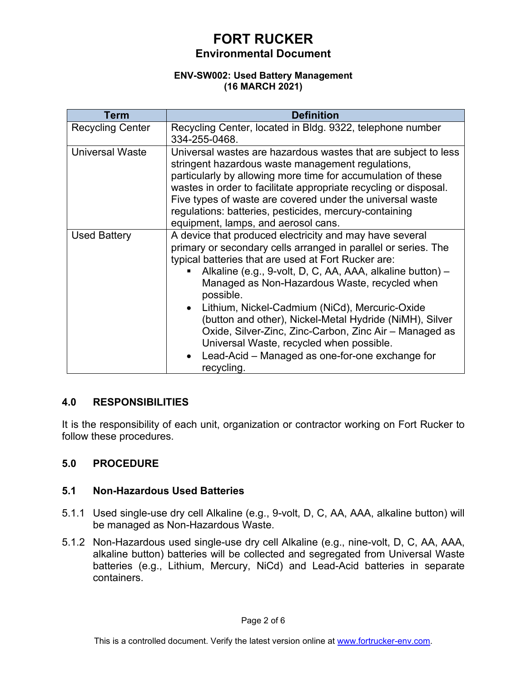#### **ENV-SW002: Used Battery Management (16 MARCH 2021)**

| Term                    | <b>Definition</b>                                                                                                                                                                                                                                                                                                                                                                                                                                                                                                                                                                               |
|-------------------------|-------------------------------------------------------------------------------------------------------------------------------------------------------------------------------------------------------------------------------------------------------------------------------------------------------------------------------------------------------------------------------------------------------------------------------------------------------------------------------------------------------------------------------------------------------------------------------------------------|
| <b>Recycling Center</b> | Recycling Center, located in Bldg. 9322, telephone number<br>334-255-0468.                                                                                                                                                                                                                                                                                                                                                                                                                                                                                                                      |
| <b>Universal Waste</b>  | Universal wastes are hazardous wastes that are subject to less<br>stringent hazardous waste management regulations,<br>particularly by allowing more time for accumulation of these<br>wastes in order to facilitate appropriate recycling or disposal.<br>Five types of waste are covered under the universal waste<br>regulations: batteries, pesticides, mercury-containing<br>equipment, lamps, and aerosol cans.                                                                                                                                                                           |
| <b>Used Battery</b>     | A device that produced electricity and may have several<br>primary or secondary cells arranged in parallel or series. The<br>typical batteries that are used at Fort Rucker are:<br>Alkaline (e.g., 9-volt, D, C, AA, AAA, alkaline button) -<br>Managed as Non-Hazardous Waste, recycled when<br>possible.<br>Lithium, Nickel-Cadmium (NiCd), Mercuric-Oxide<br>(button and other), Nickel-Metal Hydride (NiMH), Silver<br>Oxide, Silver-Zinc, Zinc-Carbon, Zinc Air - Managed as<br>Universal Waste, recycled when possible.<br>Lead-Acid – Managed as one-for-one exchange for<br>recycling. |

## **4.0 RESPONSIBILITIES**

It is the responsibility of each unit, organization or contractor working on Fort Rucker to follow these procedures.

## **5.0 PROCEDURE**

### **5.1 Non-Hazardous Used Batteries**

- 5.1.1 Used single-use dry cell Alkaline (e.g., 9-volt, D, C, AA, AAA, alkaline button) will be managed as Non-Hazardous Waste.
- 5.1.2 Non-Hazardous used single-use dry cell Alkaline (e.g., nine-volt, D, C, AA, AAA, alkaline button) batteries will be collected and segregated from Universal Waste batteries (e.g., Lithium, Mercury, NiCd) and Lead-Acid batteries in separate containers.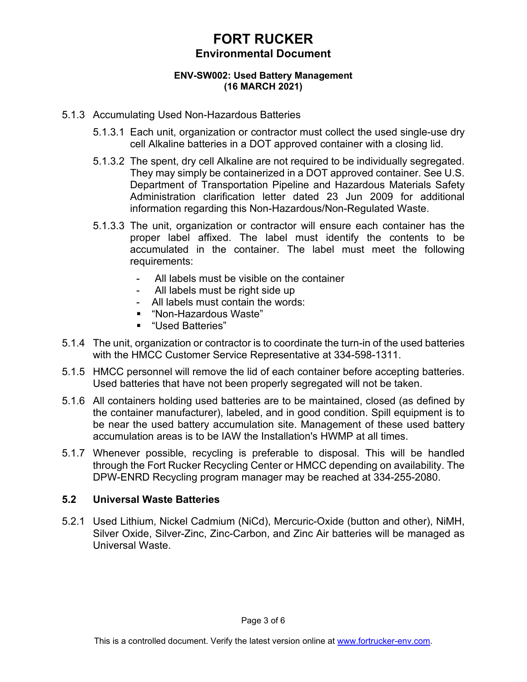#### **ENV-SW002: Used Battery Management (16 MARCH 2021)**

### 5.1.3 Accumulating Used Non-Hazardous Batteries

- 5.1.3.1 Each unit, organization or contractor must collect the used single-use dry cell Alkaline batteries in a DOT approved container with a closing lid.
- 5.1.3.2 The spent, dry cell Alkaline are not required to be individually segregated. They may simply be containerized in a DOT approved container. See U.S. Department of Transportation Pipeline and Hazardous Materials Safety Administration clarification letter dated 23 Jun 2009 for additional information regarding this Non-Hazardous/Non-Regulated Waste.
- 5.1.3.3 The unit, organization or contractor will ensure each container has the proper label affixed. The label must identify the contents to be accumulated in the container. The label must meet the following requirements:
	- All labels must be visible on the container
	- All labels must be right side up
	- All labels must contain the words:
	- "Non-Hazardous Waste"
	- "Used Batteries"
- 5.1.4 The unit, organization or contractor is to coordinate the turn-in of the used batteries with the HMCC Customer Service Representative at 334-598-1311.
- 5.1.5 HMCC personnel will remove the lid of each container before accepting batteries. Used batteries that have not been properly segregated will not be taken.
- 5.1.6 All containers holding used batteries are to be maintained, closed (as defined by the container manufacturer), labeled, and in good condition. Spill equipment is to be near the used battery accumulation site. Management of these used battery accumulation areas is to be IAW the Installation's HWMP at all times.
- 5.1.7 Whenever possible, recycling is preferable to disposal. This will be handled through the Fort Rucker Recycling Center or HMCC depending on availability. The DPW-ENRD Recycling program manager may be reached at 334-255-2080.

### **5.2 Universal Waste Batteries**

5.2.1 Used Lithium, Nickel Cadmium (NiCd), Mercuric-Oxide (button and other), NiMH, Silver Oxide, Silver-Zinc, Zinc-Carbon, and Zinc Air batteries will be managed as Universal Waste.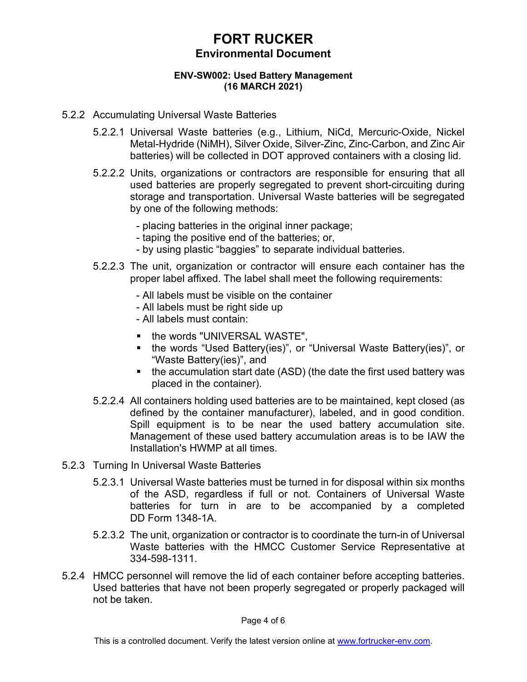#### **ENV-SW002: Used Battery Management (16 MARCH 2021)**

- 5.2.2 Accumulating Universal Waste Batteries
	- 5.2.2.1 Universal Waste batteries (e.g., Lithium, NiCd, Mercuric-Oxide, Nickel Metal-Hydride (NiMH), Silver Oxide, Silver-Zinc, Zinc-Carbon, and Zinc Air batteries) will be collected in DOT approved containers with a closing lid.
	- 5.2.2.2 Units, organizations or contractors are responsible for ensuring that all used batteries are properly segregated to prevent short-circuiting during storage and transportation. Universal Waste batteries will be segregated by one of the following methods:
		- placing batteries in the original inner package;
		- taping the positive end of the batteries; or,
		- by using plastic "baggies" to separate individual batteries.
	- 5.2.2.3 The unit, organization or contractor will ensure each container has the proper label affixed. The label shall meet the following requirements:
		- All labels must be visible on the container
		- All labels must be right side up
		- All labels must contain:
		- **the words "UNIVERSAL WASTE",**
		- the words "Used Battery(ies)", or "Universal Waste Battery(ies)", or "Waste Battery(ies)", and
		- the accumulation start date (ASD) (the date the first used battery was placed in the container).
	- 5.2.2.4 All containers holding used batteries are to be maintained, kept closed (as defined by the container manufacturer), labeled, and in good condition. Spill equipment is to be near the used battery accumulation site. Management of these used battery accumulation areas is to be IAW the Installation's HWMP at all times.
- 5.2.3 Turning In Universal Waste Batteries
	- 5.2.3.1 Universal Waste batteries must be turned in for disposal within six months of the ASD, regardless if full or not. Containers of Universal Waste batteries for turn in are to be accompanied by a completed DD Form 1348-1A.
	- 5.2.3.2 The unit, organization or contractor is to coordinate the turn-in of Universal Waste batteries with the HMCC Customer Service Representative at 334-598-1311.
- 5.2.4 HMCC personnel will remove the lid of each container before accepting batteries. Used batteries that have not been properly segregated or properly packaged will not be taken.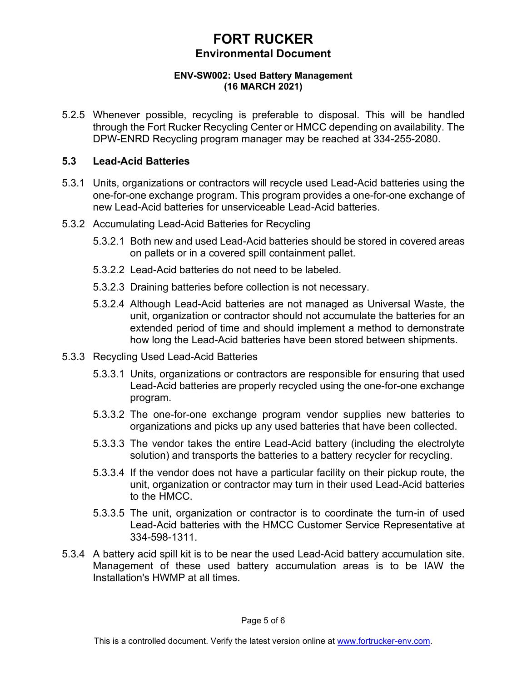#### **ENV-SW002: Used Battery Management (16 MARCH 2021)**

5.2.5 Whenever possible, recycling is preferable to disposal. This will be handled through the Fort Rucker Recycling Center or HMCC depending on availability. The DPW-ENRD Recycling program manager may be reached at 334-255-2080.

### **5.3 Lead-Acid Batteries**

- 5.3.1 Units, organizations or contractors will recycle used Lead-Acid batteries using the one-for-one exchange program. This program provides a one-for-one exchange of new Lead-Acid batteries for unserviceable Lead-Acid batteries.
- 5.3.2 Accumulating Lead-Acid Batteries for Recycling
	- 5.3.2.1 Both new and used Lead-Acid batteries should be stored in covered areas on pallets or in a covered spill containment pallet.
	- 5.3.2.2 Lead-Acid batteries do not need to be labeled.
	- 5.3.2.3 Draining batteries before collection is not necessary.
	- 5.3.2.4 Although Lead-Acid batteries are not managed as Universal Waste, the unit, organization or contractor should not accumulate the batteries for an extended period of time and should implement a method to demonstrate how long the Lead-Acid batteries have been stored between shipments.
- 5.3.3 Recycling Used Lead-Acid Batteries
	- 5.3.3.1 Units, organizations or contractors are responsible for ensuring that used Lead-Acid batteries are properly recycled using the one-for-one exchange program.
	- 5.3.3.2 The one-for-one exchange program vendor supplies new batteries to organizations and picks up any used batteries that have been collected.
	- 5.3.3.3 The vendor takes the entire Lead-Acid battery (including the electrolyte solution) and transports the batteries to a battery recycler for recycling.
	- 5.3.3.4 If the vendor does not have a particular facility on their pickup route, the unit, organization or contractor may turn in their used Lead-Acid batteries to the HMCC.
	- 5.3.3.5 The unit, organization or contractor is to coordinate the turn-in of used Lead-Acid batteries with the HMCC Customer Service Representative at 334-598-1311.
- 5.3.4 A battery acid spill kit is to be near the used Lead-Acid battery accumulation site. Management of these used battery accumulation areas is to be IAW the Installation's HWMP at all times.